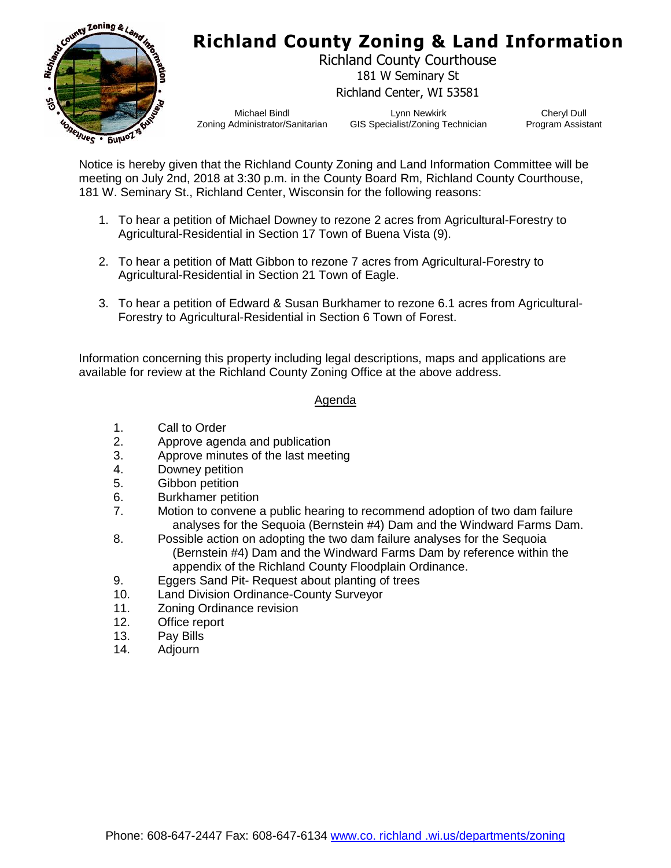

## **Richland County Zoning & Land Information**

Richland County Courthouse 181 W Seminary St Richland Center, WI 53581

Michael Bindl Zoning Administrator/Sanitarian

Lynn Newkirk GIS Specialist/Zoning Technician

Cheryl Dull Program Assistant

Notice is hereby given that the Richland County Zoning and Land Information Committee will be meeting on July 2nd, 2018 at 3:30 p.m. in the County Board Rm, Richland County Courthouse, 181 W. Seminary St., Richland Center, Wisconsin for the following reasons:

- 1. To hear a petition of Michael Downey to rezone 2 acres from Agricultural-Forestry to Agricultural-Residential in Section 17 Town of Buena Vista (9).
- 2. To hear a petition of Matt Gibbon to rezone 7 acres from Agricultural-Forestry to Agricultural-Residential in Section 21 Town of Eagle.
- 3. To hear a petition of Edward & Susan Burkhamer to rezone 6.1 acres from Agricultural-Forestry to Agricultural-Residential in Section 6 Town of Forest.

Information concerning this property including legal descriptions, maps and applications are available for review at the Richland County Zoning Office at the above address.

## Agenda

- 1. Call to Order
- 2. Approve agenda and publication
- 3. Approve minutes of the last meeting
- 4. Downey petition
- 5. Gibbon petition
- 6. Burkhamer petition
- 7. Motion to convene a public hearing to recommend adoption of two dam failure analyses for the Sequoia (Bernstein #4) Dam and the Windward Farms Dam.
- 8. Possible action on adopting the two dam failure analyses for the Sequoia (Bernstein #4) Dam and the Windward Farms Dam by reference within the appendix of the Richland County Floodplain Ordinance.
- 9. Eggers Sand Pit- Request about planting of trees
- 10. Land Division Ordinance-County Surveyor
- 11. Zoning Ordinance revision
- 12. Office report
- 13. Pay Bills
- 14. Adjourn